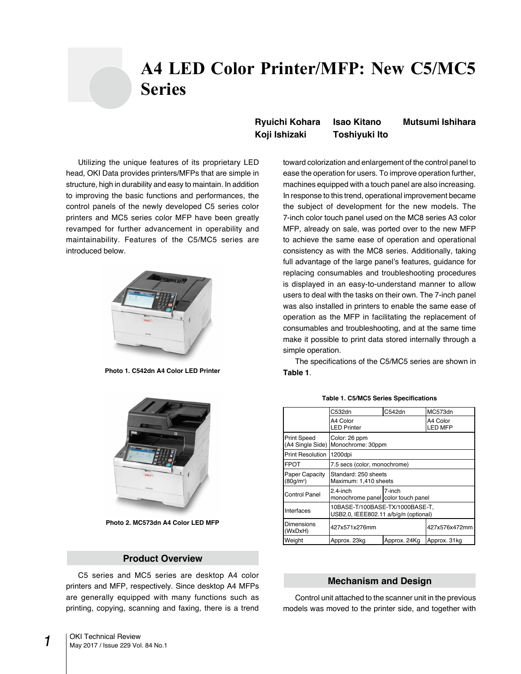# **A4 LED Color Printer/MFP: New C5/MC5 Series**

**Ryuichi Kohara Isao Kitano Mutsumi Ishihara Koji Ishizaki Toshiyuki Ito**

Utilizing the unique features of its proprietary LED head, OKI Data provides printers/MFPs that are simple in structure, high in durability and easy to maintain. In addition to improving the basic functions and performances, the control panels of the newly developed C5 series color printers and MC5 series color MFP have been greatly revamped for further advancement in operability and maintainability. Features of the C5/MC5 series are introduced below.



**Photo 1. C542dn A4 Color LED Printer**



**Photo 2. MC573dn A4 Color LED MFP**

## **Product Overview**

C5 series and MC5 series are desktop A4 color printers and MFP, respectively. Since desktop A4 MFPs are generally equipped with many functions such as printing, copying, scanning and faxing, there is a trend toward colorization and enlargement of the control panel to ease the operation for users. To improve operation further, machines equipped with a touch panel are also increasing. In response to this trend, operational improvement became the subject of development for the new models. The 7-inch color touch panel used on the MC8 series A3 color MFP, already on sale, was ported over to the new MFP to achieve the same ease of operation and operational consistency as with the MC8 series. Additionally, taking full advantage of the large panel's features, guidance for replacing consumables and troubleshooting procedures is displayed in an easy-to-understand manner to allow users to deal with the tasks on their own. The 7-inch panel was also installed in printers to enable the same ease of operation as the MFP in facilitating the replacement of consumables and troubleshooting, and at the same time make it possible to print data stored internally through a simple operation.

The specifications of the C5/MC5 series are shown in **Table 1**.

|  |  | Table 1. C5/MC5 Series Specifications |  |
|--|--|---------------------------------------|--|
|  |  |                                       |  |

|                                        | C532dn                                                                   | C542dn       | MC573dn                    |  |  |
|----------------------------------------|--------------------------------------------------------------------------|--------------|----------------------------|--|--|
|                                        | A4 Color<br><b>LED Printer</b>                                           |              | A4 Color<br><b>LED MFP</b> |  |  |
| <b>Print Speed</b><br>(A4 Single Side) | Color: 26 ppm<br>Monochrome: 30ppm                                       |              |                            |  |  |
| <b>Print Resolution</b>                | 1200dpi                                                                  |              |                            |  |  |
| <b>FPOT</b>                            | 7.5 secs (color, monochrome)                                             |              |                            |  |  |
| Paper Capacity<br>$(80q/m^2)$          | Standard: 250 sheets<br>Maximum: 1,410 sheets                            |              |                            |  |  |
| <b>Control Panel</b>                   | $2.4$ -inch<br>monochrome panel color touch panel                        | 7-inch       |                            |  |  |
| Interfaces                             | 10BASE-T/100BASE-TX/1000BASE-T,<br>USB2.0, IEEE802.11 a/b/q/n (optional) |              |                            |  |  |
| <b>Dimensions</b><br>(WxDxH)           | 427x571x276mm                                                            |              | 427x576x472mm              |  |  |
| Weight                                 | Approx. 23kg                                                             | Approx. 24Kg | Approx. 31kg               |  |  |

## **Mechanism and Design**

Control unit attached to the scanner unit in the previous models was moved to the printer side, and together with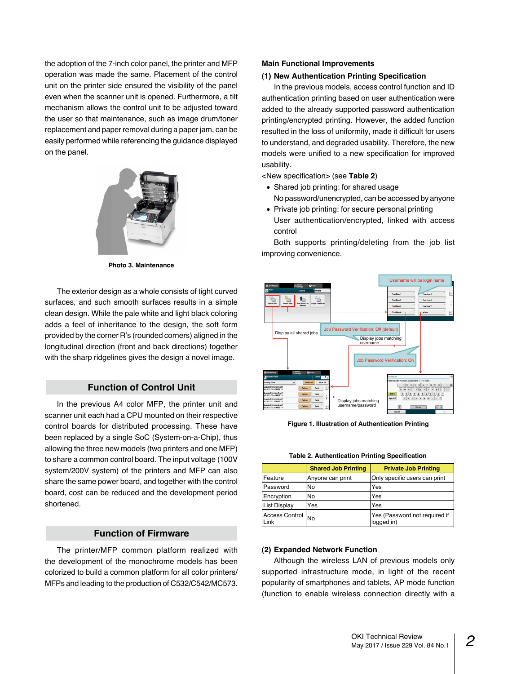the adoption of the 7-inch color panel, the printer and MFP operation was made the same. Placement of the control unit on the printer side ensured the visibility of the panel even when the scanner unit is opened. Furthermore, a tilt mechanism allows the control unit to be adjusted toward the user so that maintenance, such as image drum/toner replacement and paper removal during a paper jam, can be easily performed while referencing the guidance displayed on the panel.



**Photo 3. Maintenance**

The exterior design as a whole consists of tight curved surfaces, and such smooth surfaces results in a simple clean design. While the pale white and light black coloring adds a feel of inheritance to the design, the soft form provided by the corner R's (rounded corners) aligned in the longitudinal direction (front and back directions) together with the sharp ridgelines gives the design a novel image.

## **Function of Control Unit**

In the previous A4 color MFP, the printer unit and scanner unit each had a CPU mounted on their respective control boards for distributed processing. These have been replaced by a single SoC (System-on-a-Chip), thus allowing the three new models (two printers and one MFP) to share a common control board. The input voltage (100V system/200V system) of the printers and MFP can also share the same power board, and together with the control board, cost can be reduced and the development period shortened.

## **Function of Firmware**

The printer/MFP common platform realized with the development of the monochrome models has been colorized to build a common platform for all color printers/ MFPs and leading to the production of C532/C542/MC573.

#### **Main Functional Improvements**

#### **(1) New Authentication Printing Specification**

In the previous models, access control function and ID authentication printing based on user authentication were added to the already supported password authentication printing/encrypted printing. However, the added function resulted in the loss of uniformity, made it difficult for users to understand, and degraded usability. Therefore, the new models were unified to a new specification for improved usability.

<New specification> (see **Table 2**)

- Shared job printing: for shared usage No password/unencrypted, can be accessed by anyone
- Private job printing: for secure personal printing
- User authentication/encrypted, linked with access control

Both supports printing/deleting from the job list improving convenience.



**Figure 1. Illustration of Authentication Printing**

| Table L. Additionated in Fig. 1111 1111 1111 12 Openingation |                            |                                             |  |  |  |  |
|--------------------------------------------------------------|----------------------------|---------------------------------------------|--|--|--|--|
|                                                              | <b>Shared Job Printing</b> | <b>Private Job Printing</b>                 |  |  |  |  |
| Feature                                                      | Anyone can print           | Only specific users can print               |  |  |  |  |
| Password                                                     | No                         | Yes                                         |  |  |  |  |
| Encryption                                                   | No                         | Yes                                         |  |  |  |  |
| List Display                                                 | Yes                        | Yes                                         |  |  |  |  |
| Access Control  <br>Link                                     | <b>No</b>                  | Yes (Password not required if<br>logged in) |  |  |  |  |

**Table 2. Authentication Printing Specification**

#### **(2) Expanded Network Function**

Although the wireless LAN of previous models only supported infrastructure mode, in light of the recent popularity of smartphones and tablets, AP mode function (function to enable wireless connection directly with a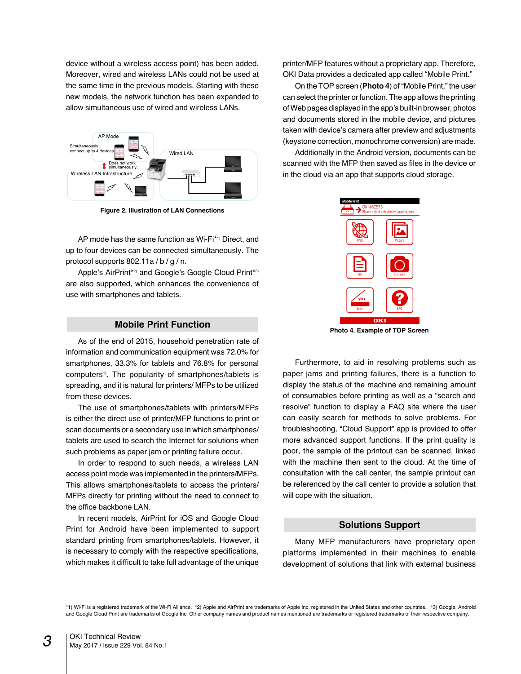device without a wireless access point) has been added. Moreover, wired and wireless LANs could not be used at the same time in the previous models. Starting with these new models, the network function has been expanded to allow simultaneous use of wired and wireless LANs.



**Figure 2. Illustration of LAN Connections**

AP mode has the same function as Wi-Fi<sup>\*1)</sup> Direct, and up to four devices can be connected simultaneously. The protocol supports 802.11a / b / g / n.

Apple's AirPrint\*<sup>2)</sup> and Google's Google Cloud Print<sup>\*3)</sup> are also supported, which enhances the convenience of use with smartphones and tablets.

## **Mobile Print Function**

As of the end of 2015, household penetration rate of information and communication equipment was 72.0% for smartphones, 33.3% for tablets and 76.8% for personal computers<sup>1)</sup>. The popularity of smartphones/tablets is spreading, and it is natural for printers/ MFPs to be utilized from these devices.

The use of smartphones/tablets with printers/MFPs is either the direct use of printer/MFP functions to print or scan documents or a secondary use in which smartphones/ tablets are used to search the Internet for solutions when such problems as paper jam or printing failure occur.

In order to respond to such needs, a wireless LAN access point mode was implemented in the printers/MFPs. This allows smartphones/tablets to access the printers/ MFPs directly for printing without the need to connect to the office backbone LAN.

In recent models, AirPrint for iOS and Google Cloud Print for Android have been implemented to support standard printing from smartphones/tablets. However, it is necessary to comply with the respective specifications, which makes it difficult to take full advantage of the unique

printer/MFP features without a proprietary app. Therefore, OKI Data provides a dedicated app called "Mobile Print."

On the TOP screen (**Photo 4**) of "Mobile Print," the user can select the printer or function. The app allows the printing of Web pages displayed in the app's built-in browser, photos and documents stored in the mobile device, and pictures taken with device's camera after preview and adjustments (keystone correction, monochrome conversion) are made.

Additionally in the Android version, documents can be scanned with the MFP then saved as files in the device or in the cloud via an app that supports cloud storage.



**Photo 4. Example of TOP Screen**

Furthermore, to aid in resolving problems such as paper jams and printing failures, there is a function to display the status of the machine and remaining amount of consumables before printing as well as a "search and resolve" function to display a FAQ site where the user can easily search for methods to solve problems. For troubleshooting, "Cloud Support" app is provided to offer more advanced support functions. If the print quality is poor, the sample of the printout can be scanned, linked with the machine then sent to the cloud. At the time of consultation with the call center, the sample printout can be referenced by the call center to provide a solution that will cope with the situation.

## **Solutions Support**

Many MFP manufacturers have proprietary open platforms implemented in their machines to enable development of solutions that link with external business

\*1) Wi-Fi is a registered trademark of the Wi-Fi Alliance. \*2) Apple and AirPrint are trademarks of Apple Inc. registered in the United States and other countries. \*3) Google, Android and Google Cloud Print are trademarks of Google Inc. Other company names and product names mentioned are trademarks or registered trademarks of their respective company.